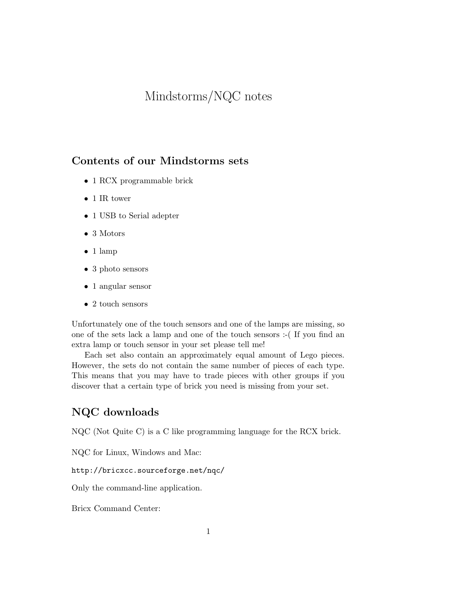# Mindstorms/NQC notes

# Contents of our Mindstorms sets

- 1 RCX programmable brick
- 1 IR tower
- 1 USB to Serial adepter
- 3 Motors
- 1 lamp
- 3 photo sensors
- 1 angular sensor
- 2 touch sensors

Unfortunately one of the touch sensors and one of the lamps are missing, so one of the sets lack a lamp and one of the touch sensors :-( If you find an extra lamp or touch sensor in your set please tell me!

Each set also contain an approximately equal amount of Lego pieces. However, the sets do not contain the same number of pieces of each type. This means that you may have to trade pieces with other groups if you discover that a certain type of brick you need is missing from your set.

## NQC downloads

NQC (Not Quite C) is a C like programming language for the RCX brick.

NQC for Linux, Windows and Mac:

http://bricxcc.sourceforge.net/nqc/

Only the command-line application.

Bricx Command Center: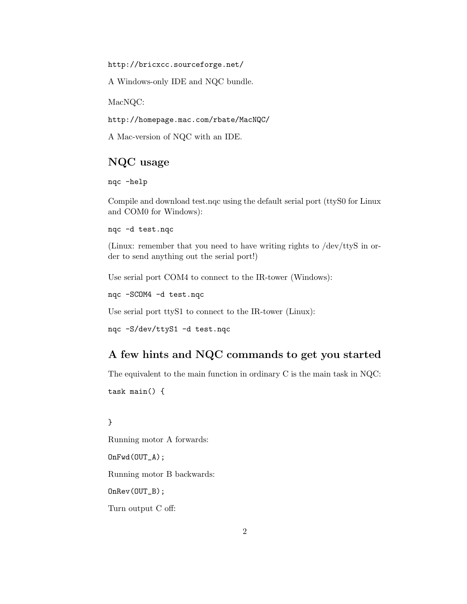http://bricxcc.sourceforge.net/

A Windows-only IDE and NQC bundle.

MacNQC:

http://homepage.mac.com/rbate/MacNQC/

A Mac-version of NQC with an IDE.

## NQC usage

nqc -help

Compile and download test.nqc using the default serial port (ttyS0 for Linux and COM0 for Windows):

nqc -d test.nqc

(Linux: remember that you need to have writing rights to /dev/ttyS in order to send anything out the serial port!)

Use serial port COM4 to connect to the IR-tower (Windows):

nqc -SCOM4 -d test.nqc

Use serial port ttyS1 to connect to the IR-tower (Linux):

nqc -S/dev/ttyS1 -d test.nqc

# A few hints and NQC commands to get you started

The equivalent to the main function in ordinary C is the main task in NQC:

task main() {

#### }

Running motor A forwards: OnFwd(OUT\_A); Running motor B backwards: OnRev(OUT\_B); Turn output C off: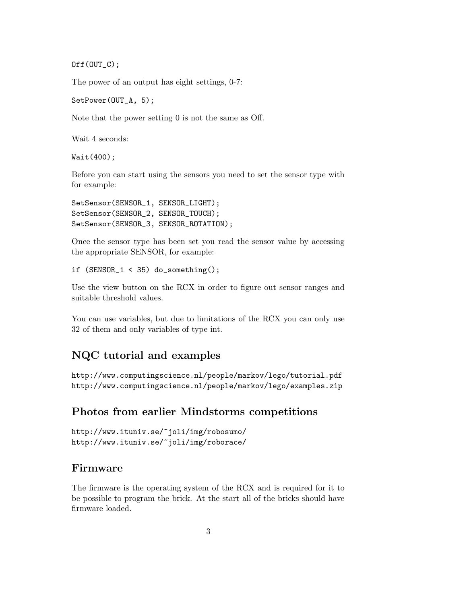$Off(OUT_C);$ 

The power of an output has eight settings, 0-7:

SetPower(OUT\_A, 5);

Note that the power setting 0 is not the same as Off.

Wait 4 seconds:

Wait(400);

Before you can start using the sensors you need to set the sensor type with for example:

```
SetSensor(SENSOR_1, SENSOR_LIGHT);
SetSensor(SENSOR_2, SENSOR_TOUCH);
SetSensor(SENSOR_3, SENSOR_ROTATION);
```
Once the sensor type has been set you read the sensor value by accessing the appropriate SENSOR, for example:

if  $(SENSOR_1 < 35)$  do\_something();

Use the view button on the RCX in order to figure out sensor ranges and suitable threshold values.

You can use variables, but due to limitations of the RCX you can only use 32 of them and only variables of type int.

### NQC tutorial and examples

http://www.computingscience.nl/people/markov/lego/tutorial.pdf http://www.computingscience.nl/people/markov/lego/examples.zip

## Photos from earlier Mindstorms competitions

```
http://www.ituniv.se/~joli/img/robosumo/
http://www.ituniv.se/~joli/img/roborace/
```
### Firmware

The firmware is the operating system of the RCX and is required for it to be possible to program the brick. At the start all of the bricks should have firmware loaded.